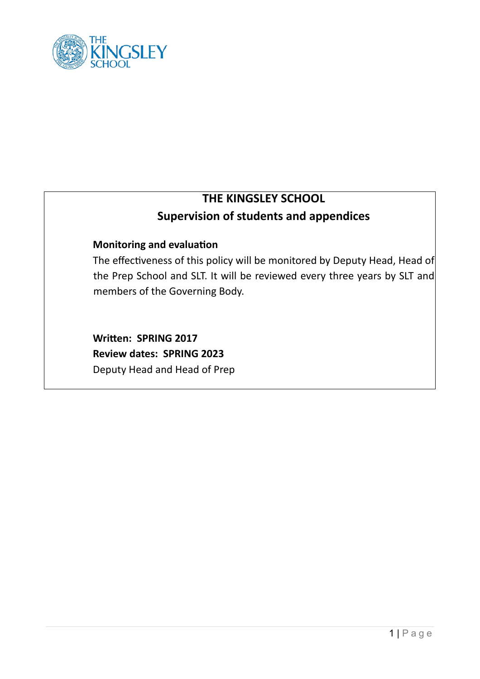

# **THE KINGSLEY SCHOOL Supervision of students and appendices**

# **Monitoring and evaluation**

The effectiveness of this policy will be monitored by Deputy Head, Head of the Prep School and SLT. It will be reviewed every three years by SLT and members of the Governing Body.

**Written: SPRING 2017 Review dates: SPRING 2023**  Deputy Head and Head of Prep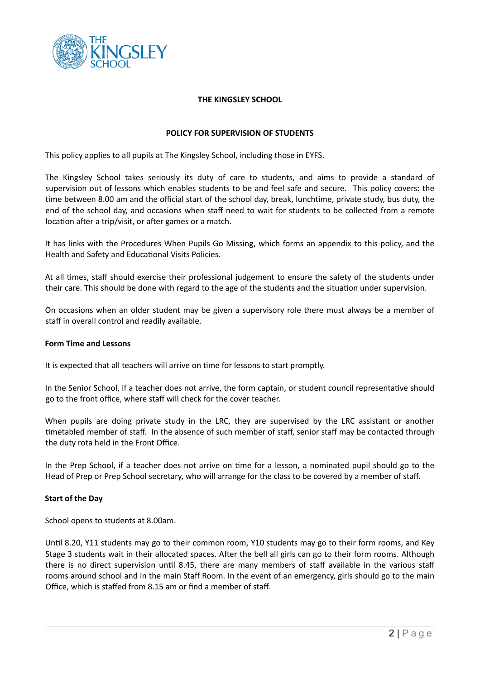

# **THE KINGSLEY SCHOOL**

# **POLICY FOR SUPERVISION OF STUDENTS**

This policy applies to all pupils at The Kingsley School, including those in EYFS.

The Kingsley School takes seriously its duty of care to students, and aims to provide a standard of supervision out of lessons which enables students to be and feel safe and secure. This policy covers: the time between 8.00 am and the official start of the school day, break, lunchtime, private study, bus duty, the end of the school day, and occasions when staff need to wait for students to be collected from a remote location after a trip/visit, or after games or a match.

It has links with the Procedures When Pupils Go Missing, which forms an appendix to this policy, and the Health and Safety and Educational Visits Policies.

At all times, staff should exercise their professional judgement to ensure the safety of the students under their care. This should be done with regard to the age of the students and the situation under supervision.

On occasions when an older student may be given a supervisory role there must always be a member of staff in overall control and readily available.

# **Form Time and Lessons**

It is expected that all teachers will arrive on time for lessons to start promptly.

In the Senior School, if a teacher does not arrive, the form captain, or student council representative should go to the front office, where staff will check for the cover teacher.

When pupils are doing private study in the LRC, they are supervised by the LRC assistant or another 'metabled member of staff. In the absence of such member of staff, senior staff may be contacted through the duty rota held in the Front Office.

In the Prep School, if a teacher does not arrive on time for a lesson, a nominated pupil should go to the Head of Prep or Prep School secretary, who will arrange for the class to be covered by a member of staff.

# **Start of the Day**

School opens to students at 8.00am.

Until 8.20, Y11 students may go to their common room, Y10 students may go to their form rooms, and Key Stage 3 students wait in their allocated spaces. After the bell all girls can go to their form rooms. Although there is no direct supervision until 8.45, there are many members of staff available in the various staff rooms around school and in the main Staff Room. In the event of an emergency, girls should go to the main Office, which is staffed from 8.15 am or find a member of staff.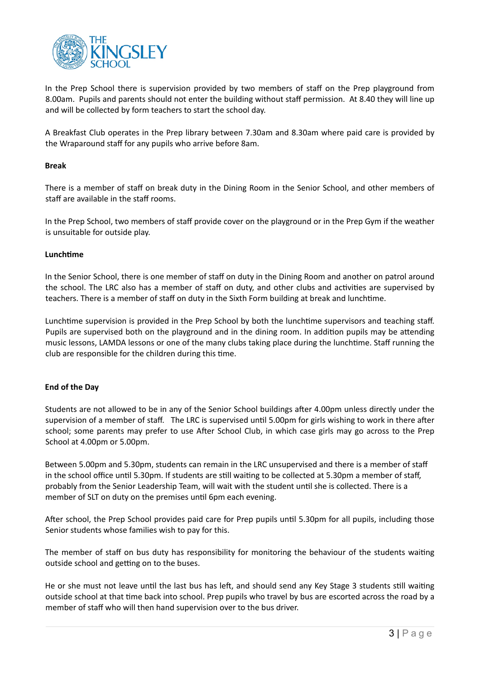

In the Prep School there is supervision provided by two members of staff on the Prep playground from 8.00am. Pupils and parents should not enter the building without staff permission. At 8.40 they will line up and will be collected by form teachers to start the school day.

A Breakfast Club operates in the Prep library between 7.30am and 8.30am where paid care is provided by the Wraparound staff for any pupils who arrive before 8am.

# **Break**

There is a member of staff on break duty in the Dining Room in the Senior School, and other members of staff are available in the staff rooms.

In the Prep School, two members of staff provide cover on the playground or in the Prep Gym if the weather is unsuitable for outside play.

#### **Lunchtime**

In the Senior School, there is one member of staff on duty in the Dining Room and another on patrol around the school. The LRC also has a member of staff on duty, and other clubs and activities are supervised by teachers. There is a member of staff on duty in the Sixth Form building at break and lunchtime.

Lunchtime supervision is provided in the Prep School by both the lunchtime supervisors and teaching staff. Pupils are supervised both on the playground and in the dining room. In addition pupils may be attending music lessons, LAMDA lessons or one of the many clubs taking place during the lunch'me. Staff running the club are responsible for the children during this time.

# **End of the Day**

Students are not allowed to be in any of the Senior School buildings after 4.00pm unless directly under the supervision of a member of staff. The LRC is supervised until 5.00pm for girls wishing to work in there after school; some parents may prefer to use After School Club, in which case girls may go across to the Prep School at 4.00pm or 5.00pm.

Between 5.00pm and 5.30pm, students can remain in the LRC unsupervised and there is a member of staff in the school office until 5.30pm. If students are still waiting to be collected at 5.30pm a member of staff, probably from the Senior Leadership Team, will wait with the student until she is collected. There is a member of SLT on duty on the premises until 6pm each evening.

After school, the Prep School provides paid care for Prep pupils until 5.30pm for all pupils, including those Senior students whose families wish to pay for this.

The member of staff on bus duty has responsibility for monitoring the behaviour of the students waiting outside school and getting on to the buses.

He or she must not leave until the last bus has left, and should send any Key Stage 3 students still waiting outside school at that 'me back into school. Prep pupils who travel by bus are escorted across the road by a member of staff who will then hand supervision over to the bus driver.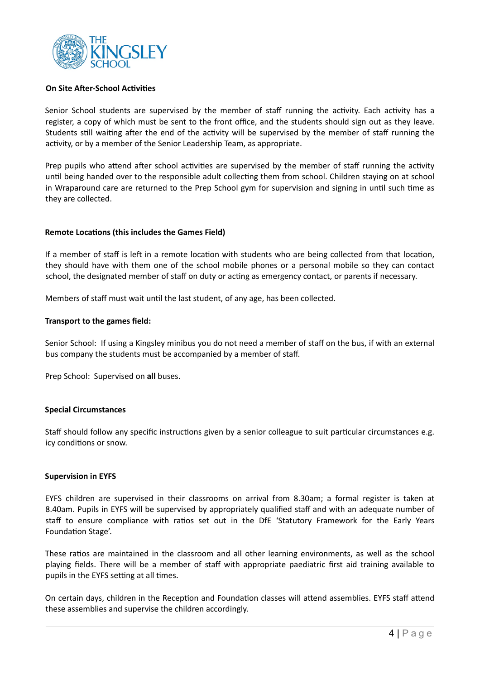

#### **On Site After-School Activities**

Senior School students are supervised by the member of staff running the activity. Each activity has a register, a copy of which must be sent to the front office, and the students should sign out as they leave. Students still waiting after the end of the activity will be supervised by the member of staff running the activity, or by a member of the Senior Leadership Team, as appropriate.

Prep pupils who attend after school activities are supervised by the member of staff running the activity until being handed over to the responsible adult collecting them from school. Children staying on at school in Wraparound care are returned to the Prep School gym for supervision and signing in until such time as they are collected.

# **Remote Locations (this includes the Games Field)**

If a member of staff is left in a remote location with students who are being collected from that location, they should have with them one of the school mobile phones or a personal mobile so they can contact school, the designated member of staff on duty or acting as emergency contact, or parents if necessary.

Members of staff must wait until the last student, of any age, has been collected.

#### **Transport to the games field:**

Senior School: If using a Kingsley minibus you do not need a member of staff on the bus, if with an external bus company the students must be accompanied by a member of staff.

Prep School: Supervised on **all** buses.

#### **Special Circumstances**

Staff should follow any specific instructions given by a senior colleague to suit particular circumstances e.g. icy conditions or snow.

#### **Supervision in EYFS**

EYFS children are supervised in their classrooms on arrival from 8.30am; a formal register is taken at 8.40am. Pupils in EYFS will be supervised by appropriately qualified staff and with an adequate number of staff to ensure compliance with ratios set out in the DfE 'Statutory Framework for the Early Years Foundation Stage'.

These ratios are maintained in the classroom and all other learning environments, as well as the school playing fields. There will be a member of staff with appropriate paediatric first aid training available to pupils in the EYFS setting at all times.

On certain days, children in the Reception and Foundation classes will attend assemblies. EYFS staff attend these assemblies and supervise the children accordingly.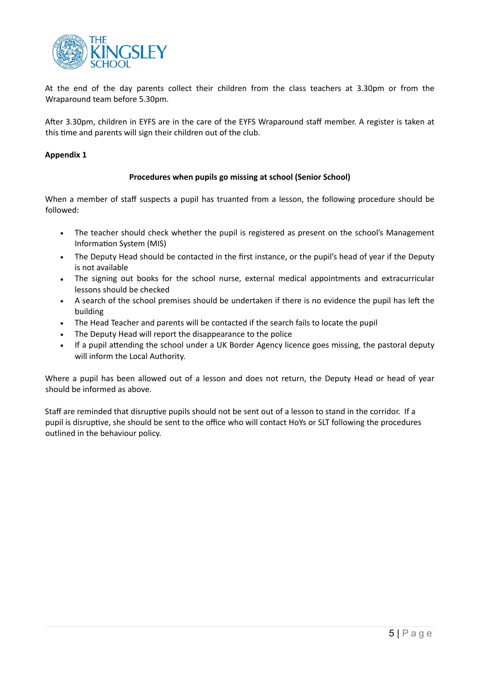

At the end of the day parents collect their children from the class teachers at 3.30pm or from the Wraparound team before 5.30pm.

After 3.30pm, children in EYFS are in the care of the EYFS Wraparound staff member. A register is taken at this time and parents will sign their children out of the club.

# **Appendix 1**

# **Procedures when pupils go missing at school (Senior School)**

When a member of staff suspects a pupil has truanted from a lesson, the following procedure should be followed:

- The teacher should check whether the pupil is registered as present on the school's Management Information System (MIS)
- The Deputy Head should be contacted in the first instance, or the pupil's head of year if the Deputy is not available
- The signing out books for the school nurse, external medical appointments and extracurricular lessons should be checked
- A search of the school premises should be undertaken if there is no evidence the pupil has left the building
- The Head Teacher and parents will be contacted if the search fails to locate the pupil
- The Deputy Head will report the disappearance to the police
- If a pupil attending the school under a UK Border Agency licence goes missing, the pastoral deputy will inform the Local Authority.

Where a pupil has been allowed out of a lesson and does not return, the Deputy Head or head of year should be informed as above.

Staff are reminded that disruptive pupils should not be sent out of a lesson to stand in the corridor. If a pupil is disruptive, she should be sent to the office who will contact HoYs or SLT following the procedures outlined in the behaviour policy.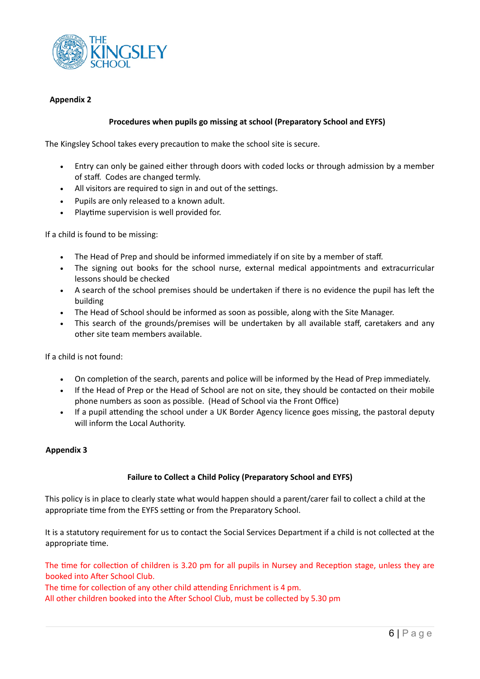

# **Appendix 2**

# **Procedures when pupils go missing at school (Preparatory School and EYFS)**

The Kingsley School takes every precaution to make the school site is secure.

- Entry can only be gained either through doors with coded locks or through admission by a member of staff. Codes are changed termly.
- All visitors are required to sign in and out of the settings.
- Pupils are only released to a known adult.
- Playtime supervision is well provided for.

If a child is found to be missing:

- The Head of Prep and should be informed immediately if on site by a member of staff.
- The signing out books for the school nurse, external medical appointments and extracurricular lessons should be checked
- A search of the school premises should be undertaken if there is no evidence the pupil has left the building
- The Head of School should be informed as soon as possible, along with the Site Manager.
- This search of the grounds/premises will be undertaken by all available staff, caretakers and any other site team members available.

If a child is not found:

- On completion of the search, parents and police will be informed by the Head of Prep immediately.
- If the Head of Prep or the Head of School are not on site, they should be contacted on their mobile phone numbers as soon as possible. (Head of School via the Front Office)
- If a pupil attending the school under a UK Border Agency licence goes missing, the pastoral deputy will inform the Local Authority.

# **Appendix 3**

# **Failure to Collect a Child Policy (Preparatory School and EYFS)**

This policy is in place to clearly state what would happen should a parent/carer fail to collect a child at the appropriate time from the EYFS setting or from the Preparatory School.

It is a statutory requirement for us to contact the Social Services Department if a child is not collected at the appropriate time.

The time for collection of children is 3.20 pm for all pupils in Nursey and Reception stage, unless they are booked into After School Club.

The time for collection of any other child attending Enrichment is 4 pm.

All other children booked into the After School Club, must be collected by 5.30 pm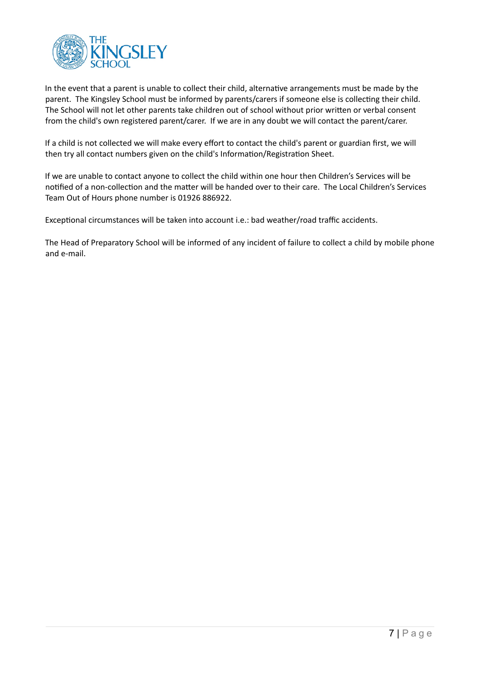

In the event that a parent is unable to collect their child, alternative arrangements must be made by the parent. The Kingsley School must be informed by parents/carers if someone else is collecting their child. The School will not let other parents take children out of school without prior written or verbal consent from the child's own registered parent/carer. If we are in any doubt we will contact the parent/carer.

If a child is not collected we will make every effort to contact the child's parent or guardian first, we will then try all contact numbers given on the child's Information/Registration Sheet.

If we are unable to contact anyone to collect the child within one hour then Children's Services will be notified of a non-collection and the matter will be handed over to their care. The Local Children's Services Team Out of Hours phone number is 01926 886922.

Exceptional circumstances will be taken into account i.e.: bad weather/road traffic accidents.

The Head of Preparatory School will be informed of any incident of failure to collect a child by mobile phone and e-mail.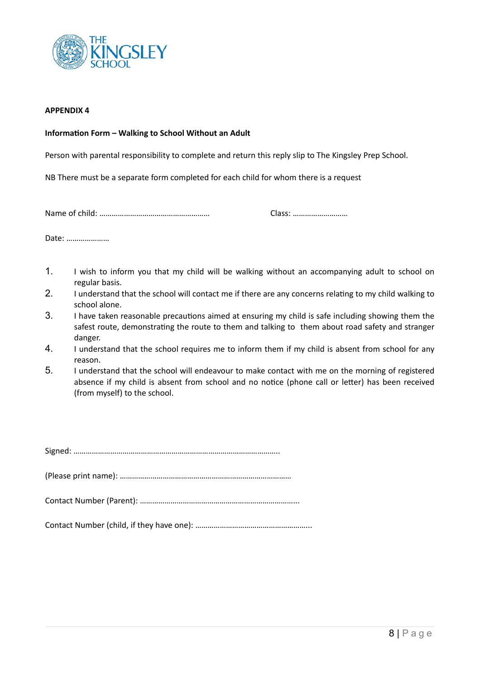

#### **APPENDIX 4**

#### **Information Form – Walking to School Without an Adult**

Person with parental responsibility to complete and return this reply slip to The Kingsley Prep School.

NB There must be a separate form completed for each child for whom there is a request

Name of child: ……………………………………………… Class: ………………………

Date: …………………

- 1. I wish to inform you that my child will be walking without an accompanying adult to school on regular basis.
- 2. I understand that the school will contact me if there are any concerns relating to my child walking to school alone.
- 3. I have taken reasonable precautions aimed at ensuring my child is safe including showing them the safest route, demonstrating the route to them and talking to them about road safety and stranger danger.
- 4. I understand that the school requires me to inform them if my child is absent from school for any reason.
- 5. I understand that the school will endeavour to make contact with me on the morning of registered absence if my child is absent from school and no notice (phone call or letter) has been received (from myself) to the school.

Signed: ………………………………………………………………………………………..

(Please print name): …………………………………………………………………………

Contact Number (Parent): …………………………………………………………………...

Contact Number (child, if they have one): ………………………………………………...